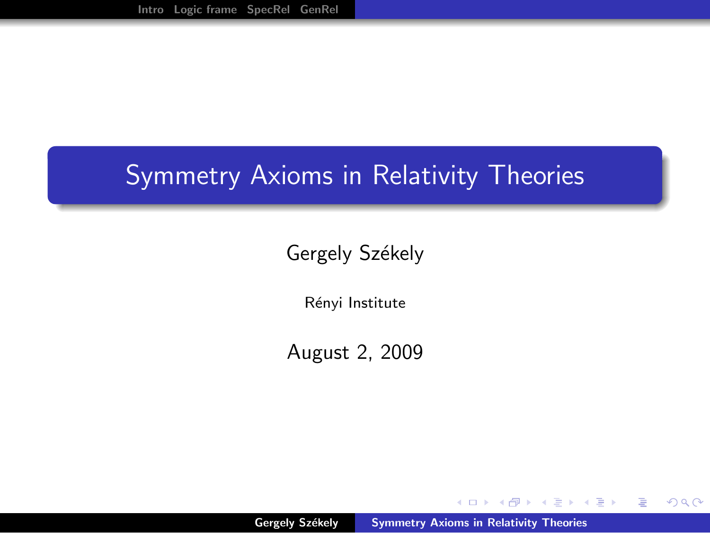## Symmetry Axioms in Relativity Theories

## Gergely Székely

Rényi Institute

August 2, 2009

Gergely Székely [Symmetry Axioms in Relativity Theories](#page-22-0)

 $\leftarrow$   $\Box$ 

<span id="page-0-0"></span> $\mathcal{A} \oplus \mathcal{B}$  and  $\mathcal{A} \oplus \mathcal{B}$  and  $\mathcal{A} \oplus \mathcal{B}$ 

 $2Q$ 

重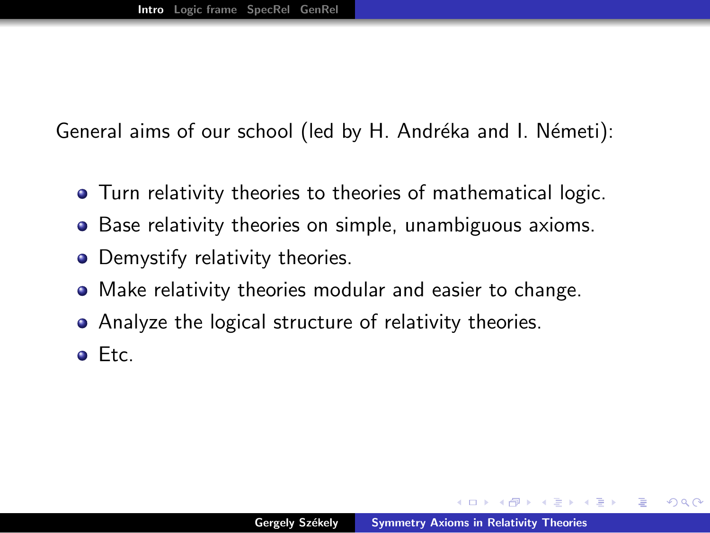General aims of our school (led by H. Andréka and I. Németi):

- Turn relativity theories to theories of mathematical logic.
- Base relativity theories on simple, unambiguous axioms.
- Demystify relativity theories.
- Make relativity theories modular and easier to change.
- Analyze the logical structure of relativity theories.
- Etc.

<span id="page-1-0"></span>**A BANDA** 

へのへ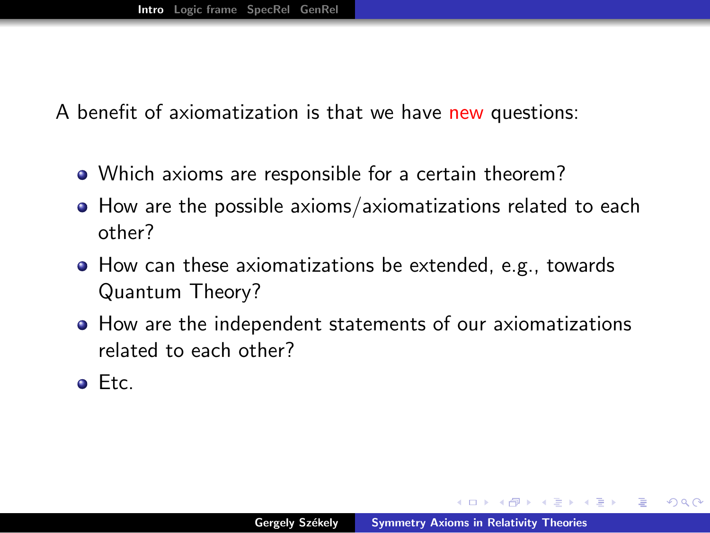A benefit of axiomatization is that we have new questions:

- Which axioms are responsible for a certain theorem?
- How are the possible axioms/axiomatizations related to each other?
- How can these axiomatizations be extended, e.g., towards Quantum Theory?
- How are the independent statements of our axiomatizations related to each other?
- Etc.

A + + = + + = +

へのへ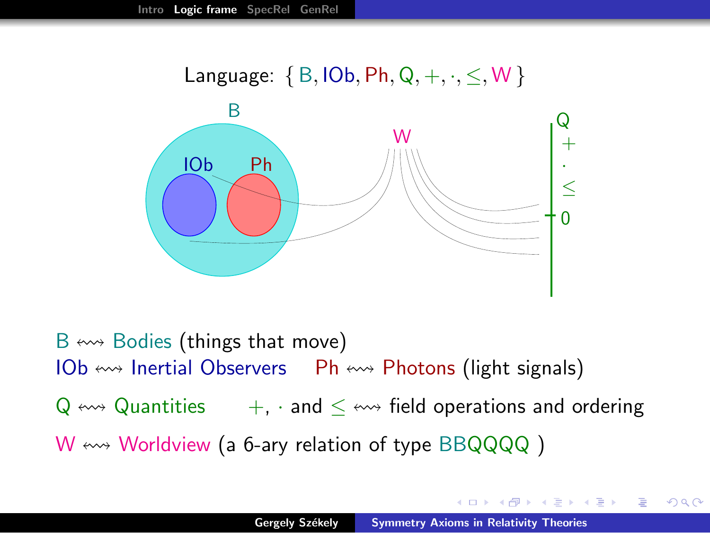

 $B \leftrightarrow$  Bodies (things that move) IOb  $\leftrightarrow$  Inertial Observers Ph  $\leftrightarrow$  Photons (light signals)  $Q \leftrightarrow Q$ uantities  $+$ , and  $\lt \leftrightarrow$  field operations and ordering  $W \leftrightarrow W$ orldview (a 6-ary relation of type BBQQQQ)

 $2Q$ 

<span id="page-3-0"></span>**ALCOHOL:**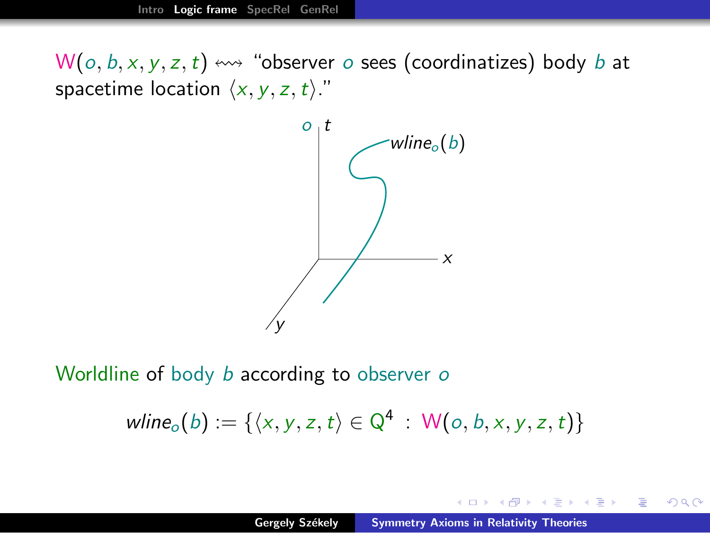$W(o, b, x, y, z, t) \leftrightarrow$  "observer o sees (coordinatizes) body b at spacetime location  $\langle x, y, z, t \rangle$ ."



Worldline of body *b* according to observer *o* 

 $\text{wline}_o(b) := \{ \langle x, y, z, t \rangle \in \mathbb{Q}^4 : \mathsf{W}(o, b, x, y, z, t) \}$ 

御き メミメ メミメー

つくい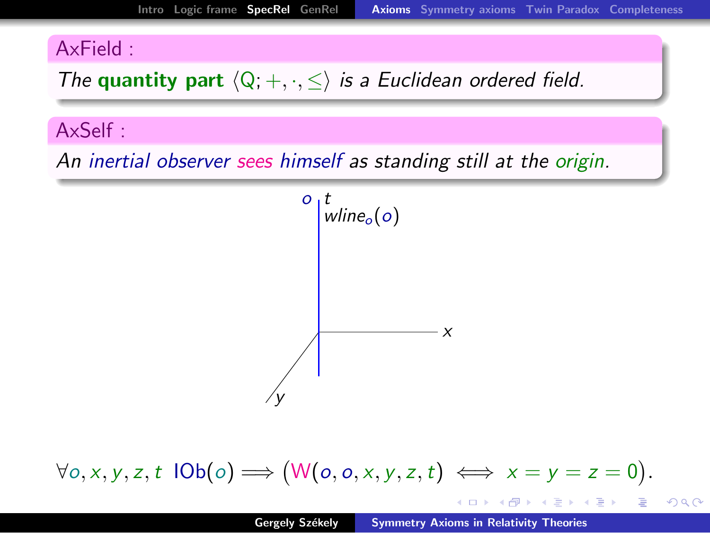## AxField :

The quantity part  $\langle Q; +, \cdot, \leq \rangle$  is a Euclidean ordered field.

## AxSelf :

An inertial observer sees himself as standing still at the origin.



# $\forall o, x, y, z, t \, \mathsf{IOb}(o) \Longrightarrow (\mathsf{W}(o, o, x, y, z, t) \iff x = y = z = 0).$

<span id="page-5-0"></span>K ロ ▶ K @ ▶ K ミ ▶ K ミ ▶ │ ミ

 $2Q$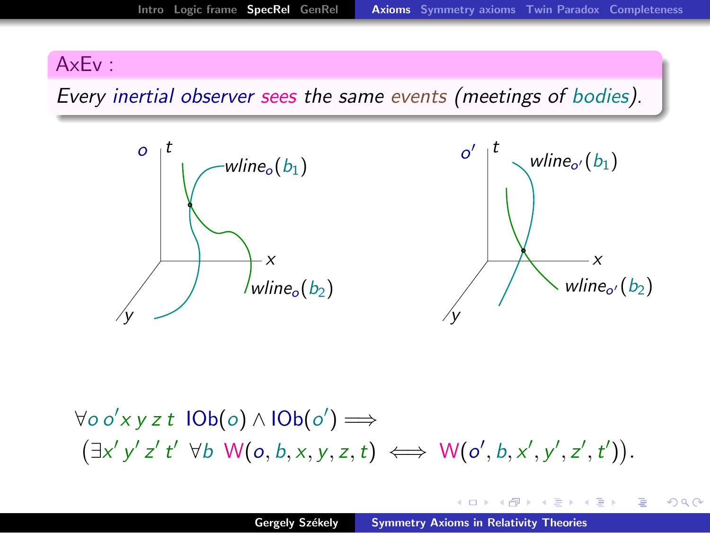#### AxEv :

Every inertial observer sees the same events (meetings of bodies).



 $\forall o o'$ x y z t lOb(o)∧lOb(o′) ⇒  $(\exists x' y' z' t' \forall b \ \mathsf{W}(o, b, x, y, z, t) \iff \mathsf{W}(o', b, x', y', z', t')).$ 

イロメ マ桐 メラミンマティ

 $2Q$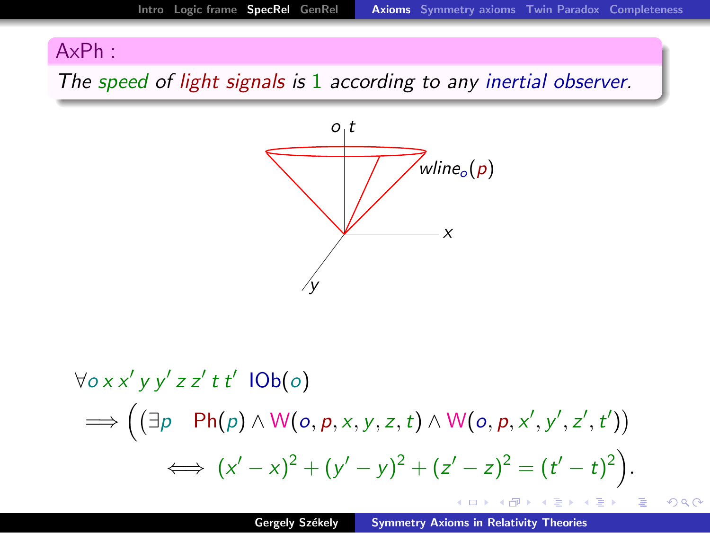## AxPh :

The speed of light signals is 1 according to any inertial observer.



$$
\forall o \times x' \text{ y } y' \text{ z } z' \text{ t } t' \text{ } |Ob(o)
$$
\n
$$
\implies \left( (\exists p \quad Ph(p) \land W(o, p, x, y, z, t) \land W(o, p, x', y', z', t')) \right)
$$
\n
$$
\iff (x' - x)^2 + (y' - y)^2 + (z' - z)^2 = (t' - t)^2 \right).
$$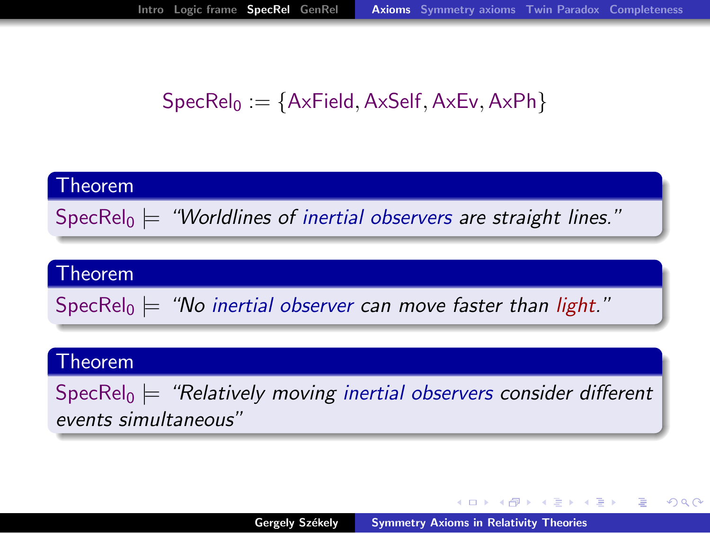## $SpecRel<sub>0</sub> := {AxField, AxSelf, AxEv, AxPh}$

## Theorem SpecRel<sub>0</sub>  $\models$  "Worldlines of inertial observers are straight lines."

#### Theorem

SpecRel<sub>0</sub>  $\models$  "No inertial observer can move faster than light."

#### Theorem

SpecRel<sub>0</sub>  $\models$  "Relatively moving inertial observers consider different events simultaneous"

K ロ ▶ K 御 ▶ K 君 ▶ K 君 ▶ ...

 $\Omega$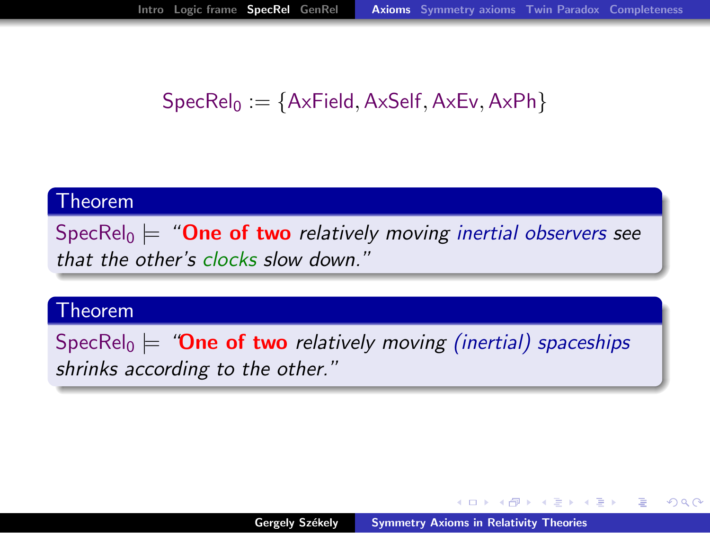## $SpecRel<sub>0</sub> := {AxField, AxSelf, AxEv, AxPh}$

#### Theorem

SpecRel<sub>0</sub>  $\models$  "**One of two** relatively moving inertial observers see that the other's clocks slow down."

#### Theorem

SpecRel<sub>0</sub>  $\models$  "**One of two** relatively moving (inertial) spaceships shrinks according to the other."

イロメ イ部メ イヨメ イヨメー

つくい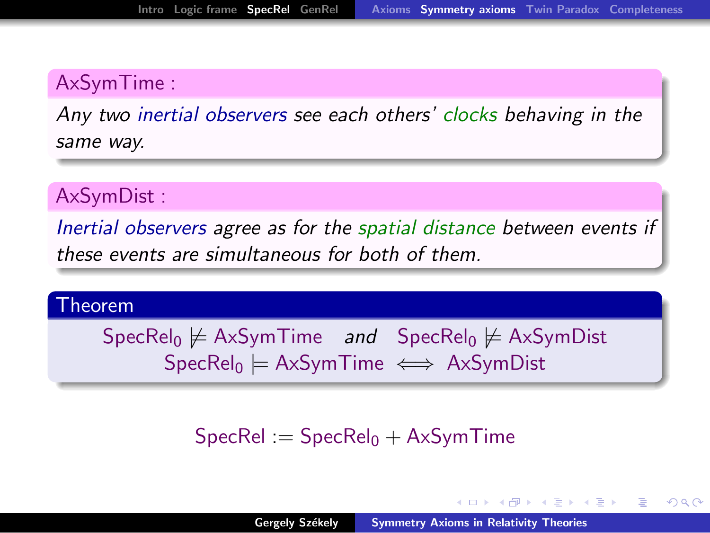## AxSymTime :

Any two inertial observers see each others' clocks behaving in the same way.

#### AxSymDist :

Inertial observers agree as for the spatial distance between events if these events are simultaneous for both of them.

#### Theorem

 $SpecRel<sub>0</sub> \not\models AxSymTime$  and  $SpecRel<sub>0</sub> \not\models AxSymDist$  $SpecRel<sub>0</sub> \models AxSymTime \iff AxSymDist$ 

## $SpecRel := SpecRel<sub>0</sub> + AxSymTime$

<span id="page-10-0"></span>イロメ イ押メ イモメ イモメー

つへへ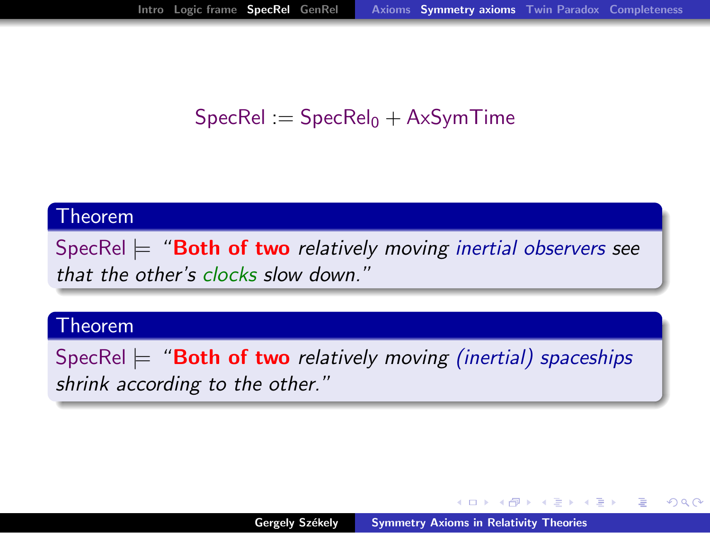## $SpecRel := SpecRel<sub>0</sub> + A<sub>x</sub>SymTime$

#### Theorem

SpecRel  $\models$  "**Both of two** relatively moving inertial observers see that the other's clocks slow down."

#### Theorem

SpecRel  $\models$  "**Both of two** relatively moving (inertial) spaceships shrink according to the other."

 $\mathcal{A}$  and  $\mathcal{A}$  in  $\mathcal{A}$  . In a set of  $\mathcal{B}$  is a set of  $\mathcal{B}$  is a set of  $\mathcal{B}$ 

つくい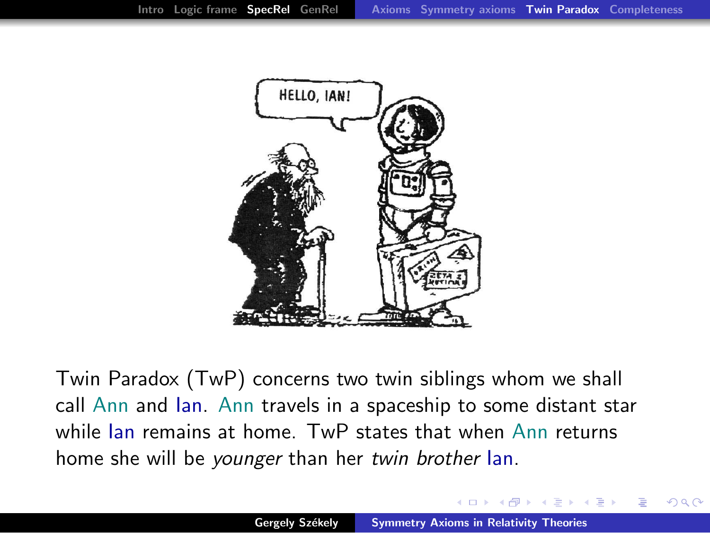

Twin Paradox (TwP) concerns two twin siblings whom we shall call Ann and Ian. Ann travels in a spaceship to some distant star while Ian remains at home. TwP states that when Ann returns home she will be younger than her twin brother Ian.

<span id="page-12-0"></span> $\Omega$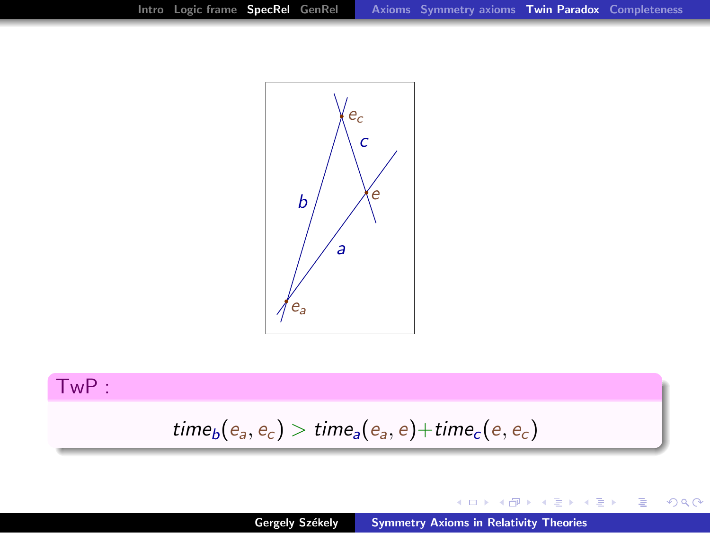

### TwP :

$$
\mathit{time}_b(e_a,e_c) > \mathit{time}_a(e_a,e) + \mathit{time}_c(e,e_c)
$$

メロメ メタメ メミメ メミメン 毛

 $299$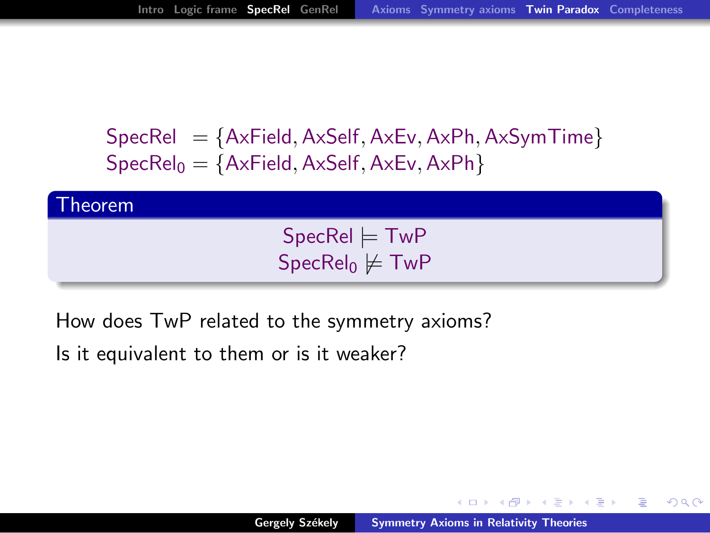$SpecRel = {AxField, AxSelf, AxEv, AxPh, AxSymTime}$  $SpecRel<sub>0</sub> = {AxField, AxSelf, AxEv, AxPh}$ 



How does TwP related to the symmetry axioms?

Is it equivalent to them or is it weaker?

マーター マーティング

つへへ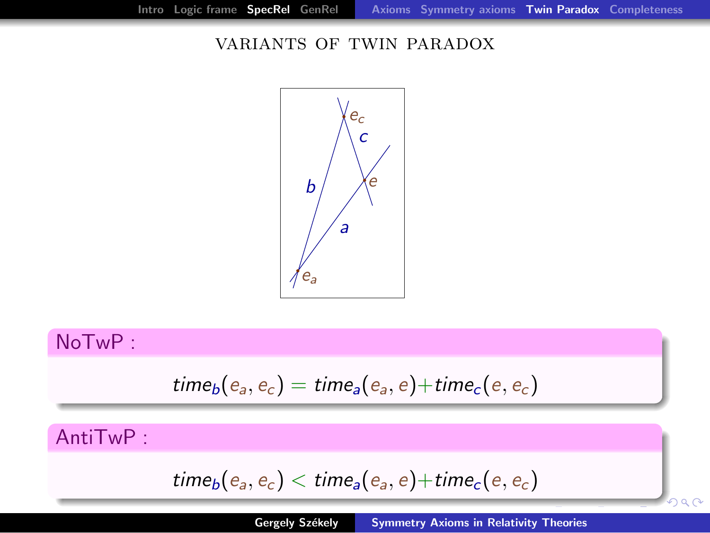$2990$ 

#### variants of twin paradox



## NoTwP :

$$
time_b(e_a, e_c) = time_a(e_a, e) + time_c(e, e_c)
$$

AntiTwP :

$$
\mathit{time}_b(e_a,e_c) < \mathit{time}_a(e_a,e) + \mathit{time}_c(e,e_c)
$$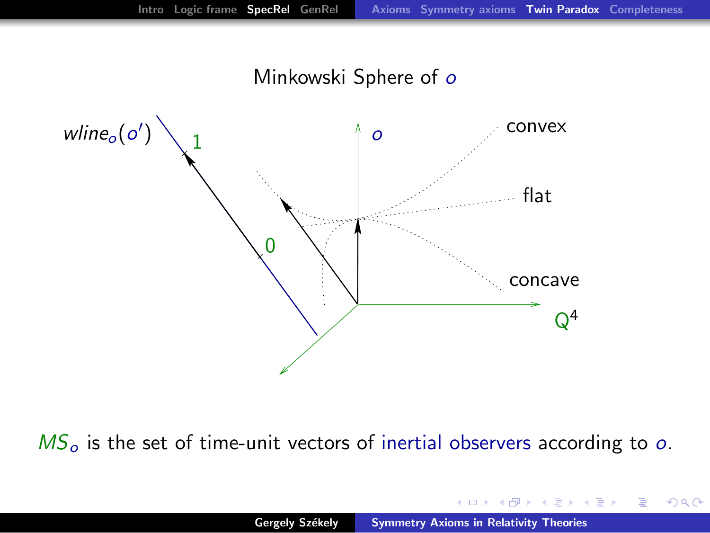Minkowski Sphere of o



 $MS<sub>o</sub>$  is the set of time-unit vectors of inertial observers according to o.

 $4.17 \pm 1.0$ 

K 御 ▶ K 唐 ▶ K 唐 ▶

 $2Q$ 

扂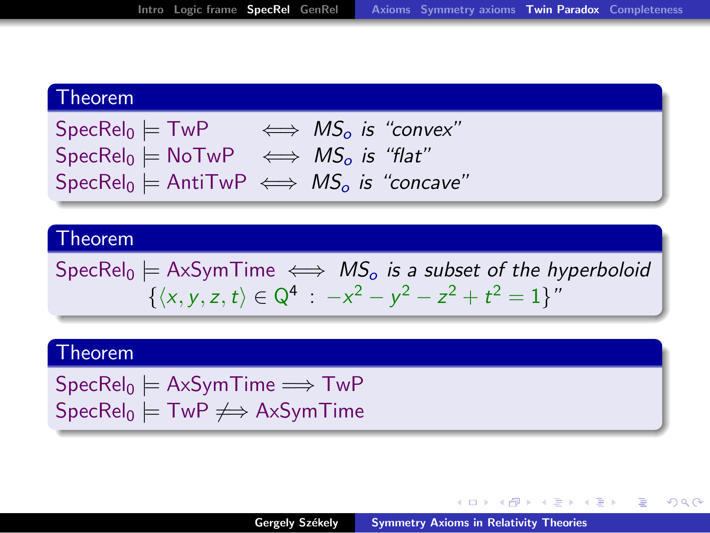#### Theorem

 $\text{SpecRel}_0 \models \text{TwP} \iff \text{MS}_o$  is "convex"  $SpecRel<sub>0</sub>$   $\models$  NoTwP  $\iff MS<sub>0</sub>$  is "flat"  $\text{SpecRel}_0 \models \text{AntiTwP} \iff \text{MS}_o$  is "concave"

#### Theorem

 $\text{SpecRel}_0 \models \text{AxSymTime} \iff \text{MS}_o$  is a subset of the hyperboloid  $\{\langle x, y, z, t \rangle \in \mathbb{Q}^4 : -x^2 - y^2 - z^2 + t^2 = 1\}$ "

#### Theorem

 $SpecRel_0 \models AxSymTime \Longrightarrow Two$  $SpecRel<sub>0</sub>$   $\models$  TwP  $\neq \Rightarrow$  AxSymTime

K ロ ⊁ K 御 ≯ K 君 ⊁ K 君 ≯ … 君

 $\Omega$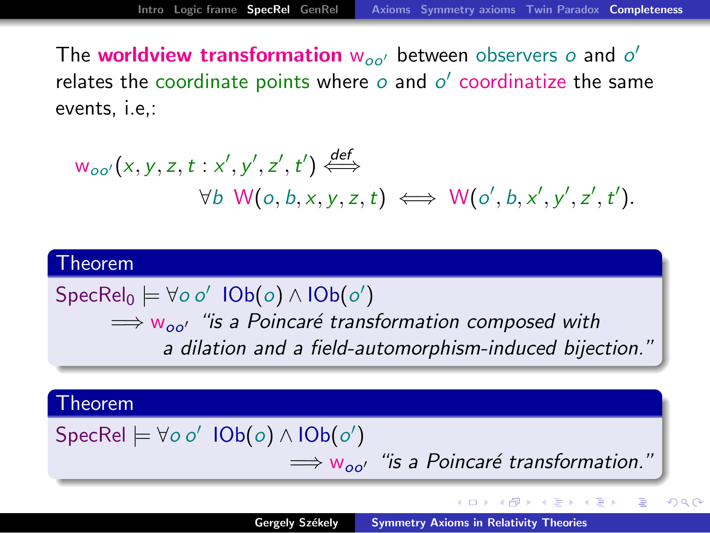The worldview transformation  $w_{oo'}$  between observers  $o$  and  $o'$ relates the coordinate points where  $\phi$  and  $\phi'$  coordinatize the same events, i.e,:

$$
w_{oo'}(x, y, z, t: x', y', z', t') \stackrel{\text{def}}{\iff} \forall b \ W(o, b, x, y, z, t) \iff W(o', b, x', y', z', t').
$$

## Theorem  $\mathsf{SpecRel}_0 \models \forall o \: o' \: \mathsf{IOb}(o) \wedge \mathsf{IOb}(o')$  $\implies$   $w_{oo'}$  "is a Poincaré transformation composed with

a dilation and a field-automorphism-induced bijection."

#### Theorem

Spec $\mathsf{Rel} \models \forall o \ o' \ \mathsf{IOb}(o) \land \mathsf{IOb}(o')$ 

 $\implies$   $w_{oo'}$  "is a Poincaré transformation."

 $2Q$ 

<span id="page-18-0"></span> $\rightarrow$   $\pm$   $\rightarrow$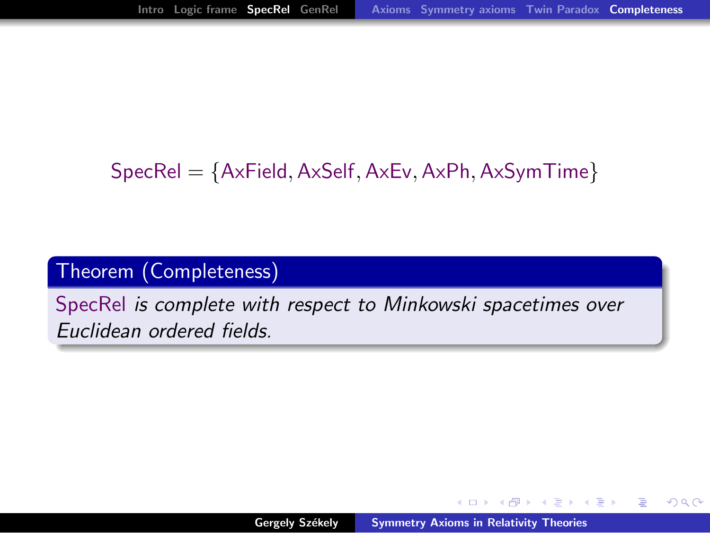## $SpecRel = \{AxField, AxSelf, AxEv, AxPh, AxSymTime\}$

## Theorem (Completeness)

SpecRel is complete with respect to Minkowski spacetimes over Euclidean ordered fields.

**A BANK BA** 

つへへ

 $\leftarrow$   $\overline{m}$   $\rightarrow$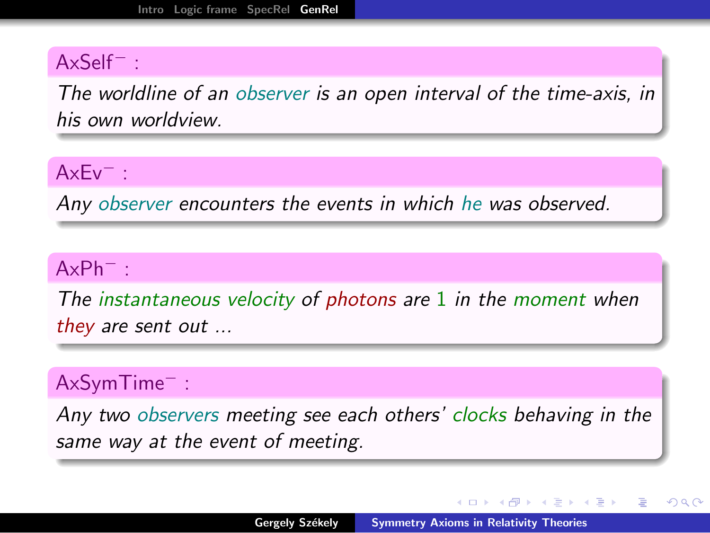### AxSelf<sup>−</sup> :

The worldline of an observer is an open interval of the time-axis, in his own worldview.

#### AxEv<sup>−</sup> :

Any observer encounters the events in which he was observed.

#### AxPh<sup>−</sup> :

The instantaneous velocity of photons are  $1$  in the moment when they are sent out ...

### AxSymTime<sup>−</sup> :

Any two observers meeting see each others' clocks behaving in the same way at the event of meeting.

<span id="page-20-0"></span>イロメ イ何 メラモン イラメ

へのへ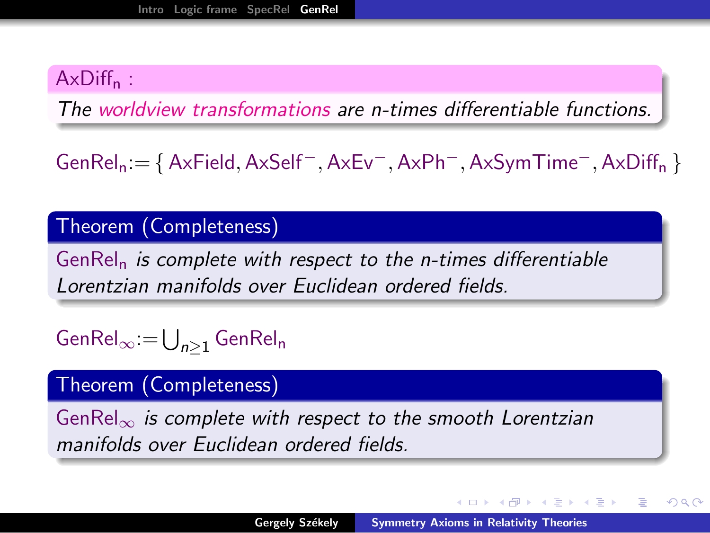## $AxDiff<sub>n</sub>$ :

The worldview transformations are n-times differentiable functions.

GenReln:= { AxField,AxSelf−,AxEv−,AxPh−,AxSymTime−,AxDiff<sup>n</sup> }

#### Theorem (Completeness)

 $GenRel<sub>n</sub>$  is complete with respect to the n-times differentiable Lorentzian manifolds over Euclidean ordered fields.

Gen $\mathsf{Rel}_\infty\! =\! \bigcup_{n\geq 1} \mathsf{GenRel_n}$ 

### Theorem (Completeness)

GenRel<sub>∞</sub> is complete with respect to the smooth Lorentzian manifolds over Euclidean ordered fields.

イロメ マ桐 メラミンマティ

 $\Omega$